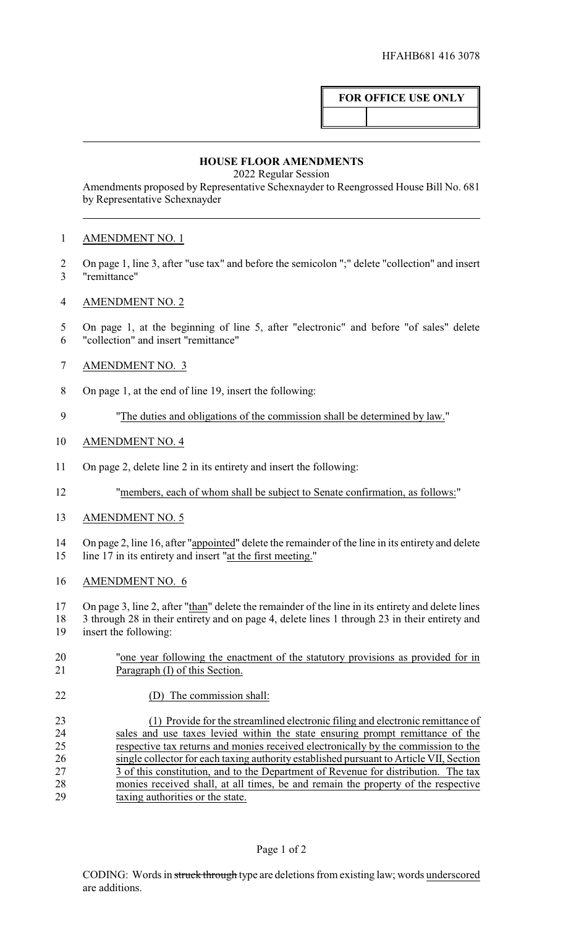## **FOR OFFICE USE ONLY**

## **HOUSE FLOOR AMENDMENTS**

2022 Regular Session

Amendments proposed by Representative Schexnayder to Reengrossed House Bill No. 681 by Representative Schexnayder

## AMENDMENT NO. 1

- On page 1, line 3, after "use tax" and before the semicolon ";" delete "collection" and insert "remittance"
- AMENDMENT NO. 2
- On page 1, at the beginning of line 5, after "electronic" and before "of sales" delete "collection" and insert "remittance"
- AMENDMENT NO. 3
- On page 1, at the end of line 19, insert the following:
- "The duties and obligations of the commission shall be determined by law."
- AMENDMENT NO. 4
- On page 2, delete line 2 in its entirety and insert the following:
- "members, each of whom shall be subject to Senate confirmation, as follows:"
- AMENDMENT NO. 5
- On page 2, line 16, after "appointed" delete the remainder of the line in its entirety and delete line 17 in its entirety and insert "at the first meeting."
- AMENDMENT NO. 6
- On page 3, line 2, after "than" delete the remainder of the line in its entirety and delete lines 3 through 28 in their entirety and on page 4, delete lines 1 through 23 in their entirety and insert the following:
- "one year following the enactment of the statutory provisions as provided for in Paragraph (I) of this Section.
- (D) The commission shall:

 (1) Provide for the streamlined electronic filing and electronic remittance of sales and use taxes levied within the state ensuring prompt remittance of the respective tax returns and monies received electronically by the commission to the 26 single collector for each taxing authority established pursuant to Article VII, Section 27 3 of this constitution, and to the Department of Revenue for distribution. The tax 27 3 of this constitution, and to the Department of Revenue for distribution. The tax<br>28 monies received shall, at all times, be and remain the property of the respective monies received shall, at all times, be and remain the property of the respective taxing authorities or the state.

## Page 1 of 2